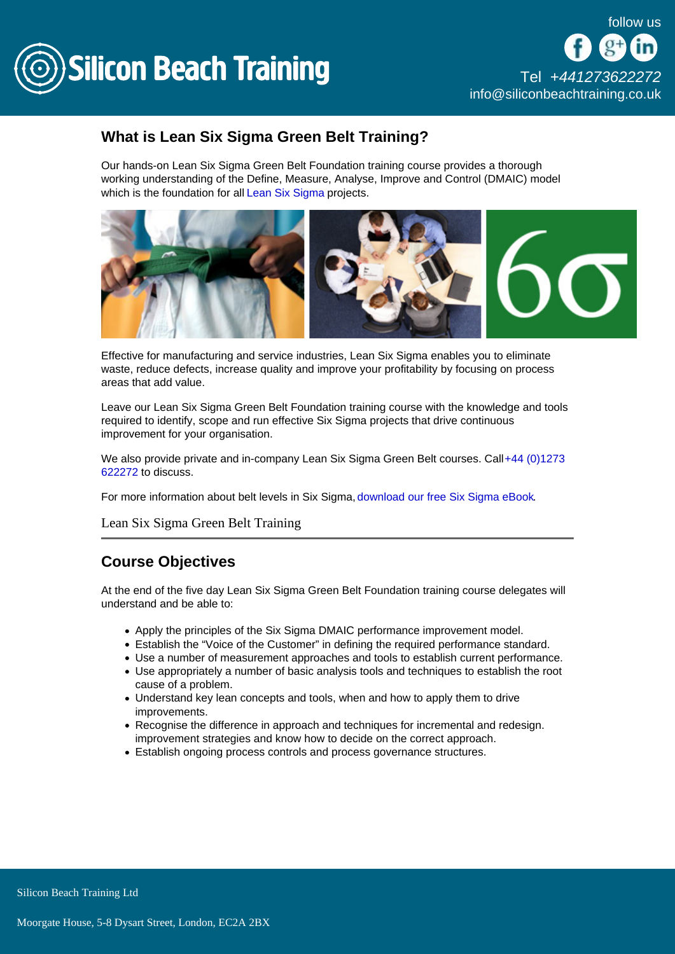

# What is Lean Six Sigma Green Belt Training?

Our hands-on Lean Six Sigma Green Belt Foundation training course provides a thorough working understanding of the Define, Measure, Analyse, Improve and Control (DMAIC) model which is the foundation for all [Lean Six Sigma](/lean-six-sigma-training) projects.

Effective for manufacturing and service industries, Lean Six Sigma enables you to eliminate waste, reduce defects, increase quality and improve your profitability by focusing on process areas that add value.

Leave our Lean Six Sigma Green Belt Foundation training course with the knowledge and tools required to identify, scope and run effective Six Sigma projects that drive continuous improvement for your organisation.

We also provide private and in-company Lean Six Sigma Green Belt courses. Call+44 (0)1273 [622272](tel:441273622272) to discuss.

For more information about belt levels in Six Sigma, [download our free Six Sigma eBook](/resources/what-is-six-sigma).

### Lean Six Sigma Green Belt Training

## Course Objectives

At the end of the five day Lean Six Sigma Green Belt Foundation training course delegates will understand and be able to:

- Apply the principles of the Six Sigma DMAIC performance improvement model.
- Establish the "Voice of the Customer" in defining the required performance standard.
- Use a number of measurement approaches and tools to establish current performance.
- Use appropriately a number of basic analysis tools and techniques to establish the root cause of a problem.
- Understand key lean concepts and tools, when and how to apply them to drive improvements.
- Recognise the difference in approach and techniques for incremental and redesign. improvement strategies and know how to decide on the correct approach.
- Establish ongoing process controls and process governance structures.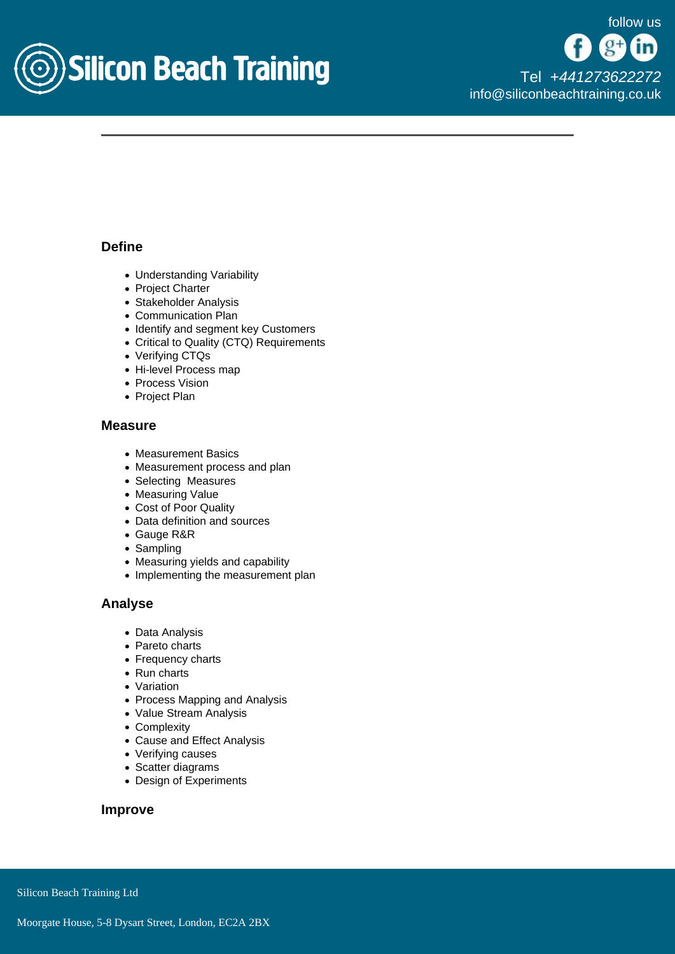

## Define

- Understanding Variability
- Project Charter
- Stakeholder Analysis
- Communication Plan
- Identify and segment key Customers
- Critical to Quality (CTQ) Requirements
- Verifying CTQs
- Hi-level Process map
- Process Vision
- Project Plan

## Measure

- Measurement Basics
- Measurement process and plan
- Selecting Measures
- Measuring Value
- Cost of Poor Quality
- Data definition and sources
- Gauge R&R
- Sampling
- Measuring yields and capability
- Implementing the measurement plan

### Analyse

- Data Analysis
- Pareto charts
- Frequency charts
- Run charts
- Variation
- Process Mapping and Analysis
- Value Stream Analysis
- Complexity
- Cause and Effect Analysis
- Verifying causes
- Scatter diagrams
- Design of Experiments

Improve

Silicon Beach Training Ltd